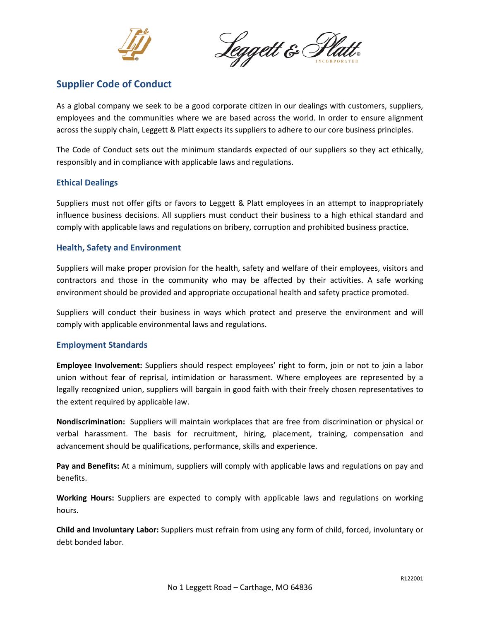

Leggett & Platt.

# **Supplier Code of Conduct**

As a global company we seek to be a good corporate citizen in our dealings with customers, suppliers, employees and the communities where we are based across the world. In order to ensure alignment across the supply chain, Leggett & Platt expects its suppliers to adhere to our core business principles.

The Code of Conduct sets out the minimum standards expected of our suppliers so they act ethically, responsibly and in compliance with applicable laws and regulations.

## **Ethical Dealings**

Suppliers must not offer gifts or favors to Leggett & Platt employees in an attempt to inappropriately influence business decisions. All suppliers must conduct their business to a high ethical standard and comply with applicable laws and regulations on bribery, corruption and prohibited business practice.

## **Health, Safety and Environment**

Suppliers will make proper provision for the health, safety and welfare of their employees, visitors and contractors and those in the community who may be affected by their activities. A safe working environment should be provided and appropriate occupational health and safety practice promoted.

Suppliers will conduct their business in ways which protect and preserve the environment and will comply with applicable environmental laws and regulations.

### **Employment Standards**

**Employee Involvement:** Suppliers should respect employees' right to form, join or not to join a labor union without fear of reprisal, intimidation or harassment. Where employees are represented by a legally recognized union, suppliers will bargain in good faith with their freely chosen representatives to the extent required by applicable law.

**Nondiscrimination:** Suppliers will maintain workplaces that are free from discrimination or physical or verbal harassment. The basis for recruitment, hiring, placement, training, compensation and advancement should be qualifications, performance, skills and experience.

**Pay and Benefits:** At a minimum, suppliers will comply with applicable laws and regulations on pay and benefits.

**Working Hours:** Suppliers are expected to comply with applicable laws and regulations on working hours.

**Child and Involuntary Labor:** Suppliers must refrain from using any form of child, forced, involuntary or debt bonded labor.